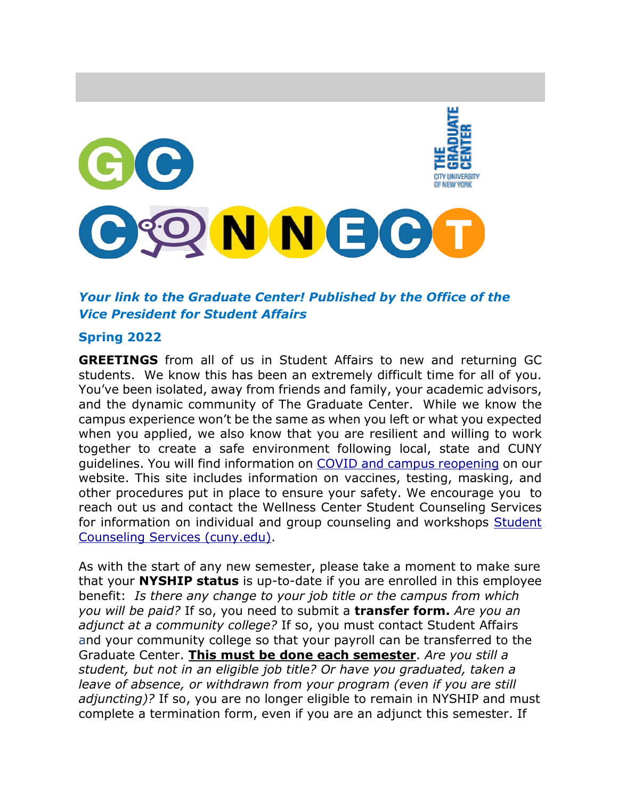

# *Your link to the Graduate Center! Published by the Office of the Vice President for Student Affairs*

#### **Spring 2022**

**GREETINGS** from all of us in Student Affairs to new and returning GC students. We know this has been an extremely difficult time for all of you. You've been isolated, away from friends and family, your academic advisors, and the dynamic community of The Graduate Center. While we know the campus experience won't be the same as when you left or what you expected when you applied, we also know that you are resilient and willing to work together to create a safe environment following local, state and CUNY guidelines. You will find information on [COVID and campus reopening](https://www.gc.cuny.edu/News/COVID-19-Information-and-Safe-Campus-Reopening?utm_source=gcsite&utm_medium=news&utm_campaign=hpfeature) on our website. This site includes information on vaccines, testing, masking, and other procedures put in place to ensure your safety. We encourage you to reach out us and contact the Wellness Center Student Counseling Services for information on individual and group counseling and workshops [Student](https://www.gc.cuny.edu/Prospective-Current-Students/Student-Life/Health-Wellness/Student-Counseling-Services)  [Counseling Services \(cuny.edu\).](https://www.gc.cuny.edu/Prospective-Current-Students/Student-Life/Health-Wellness/Student-Counseling-Services)

As with the start of any new semester, please take a moment to make sure that your **NYSHIP status** is up-to-date if you are enrolled in this employee benefit: *Is there any change to your job title or the campus from which you will be paid?* If so, you need to submit a **transfer form.** *Are you an adjunct at a community college?* If so, you must contact Student Affairs and your community college so that your payroll can be transferred to the Graduate Center. **This must be done each semester**. *Are you still a student, but not in an eligible job title? Or have you graduated, taken a leave of absence, or withdrawn from your program (even if you are still adjuncting)?* If so, you are no longer eligible to remain in NYSHIP and must complete a termination form, even if you are an adjunct this semester. If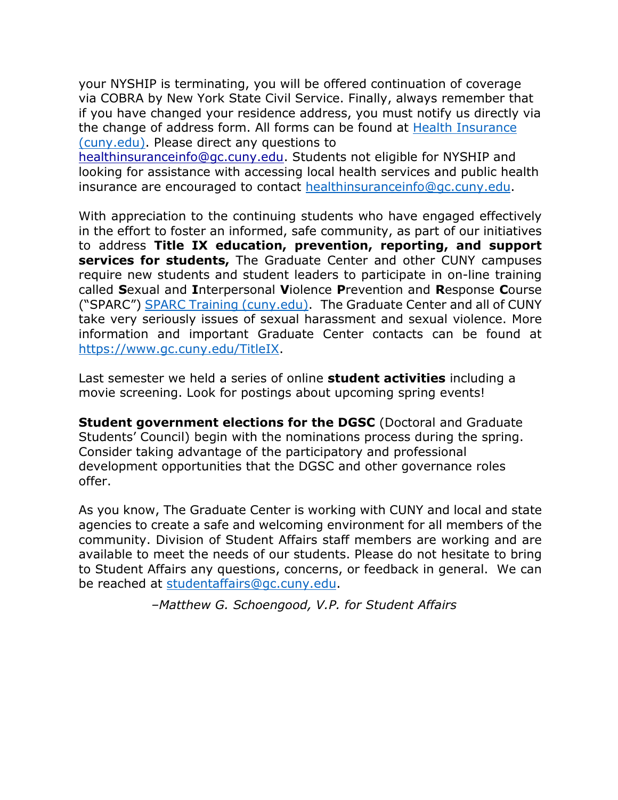your NYSHIP is terminating, you will be offered continuation of coverage via COBRA by New York State Civil Service. Finally, always remember that if you have changed your residence address, you must notify us directly via the change of address form. All forms can be found at [Health Insurance](https://www.gc.cuny.edu/Prospective-Current-Students/Student-Life/Health-Wellness/Health-Insurance)  [\(cuny.edu\).](https://www.gc.cuny.edu/Prospective-Current-Students/Student-Life/Health-Wellness/Health-Insurance) Please direct any questions to

[healthinsuranceinfo@gc.cuny.edu.](mailto:healthinsuranceinfo@gc.cuny.edu) Students not eligible for NYSHIP and looking for assistance with accessing local health services and public health insurance are encouraged to contact [healthinsuranceinfo@gc.cuny.edu.](mailto:healthinsuranceinfo@gc.cuny.edu)

With appreciation to the continuing students who have engaged effectively in the effort to foster an informed, safe community, as part of our initiatives to address **Title IX education, prevention, reporting, and support services for students,** The Graduate Center and other CUNY campuses require new students and student leaders to participate in on-line training called **S**exual and **I**nterpersonal **V**iolence **P**revention and **R**esponse **C**ourse ("SPARC") [SPARC Training \(cuny.edu\).](https://www.gc.cuny.edu/Prospective-Current-Students/Student-Life/SPARC-Training) The Graduate Center and all of CUNY take very seriously issues of sexual harassment and sexual violence. More information and important Graduate Center contacts can be found at [https://www.gc.cuny.edu/TitleIX.](https://www.gc.cuny.edu/TitleIX)

Last semester we held a series of online **student activities** including a movie screening. Look for postings about upcoming spring events!

**Student government elections for the DGSC** (Doctoral and Graduate Students' Council) begin with the nominations process during the spring. Consider taking advantage of the participatory and professional development opportunities that the DGSC and other governance roles offer.

As you know, The Graduate Center is working with CUNY and local and state agencies to create a safe and welcoming environment for all members of the community. Division of Student Affairs staff members are working and are available to meet the needs of our students. Please do not hesitate to bring to Student Affairs any questions, concerns, or feedback in general. We can be reached at [studentaffairs@gc.cuny.edu.](mailto:studentaffairs@gc.cuny.edu)

*–Matthew G. Schoengood, V.P. for Student Affairs*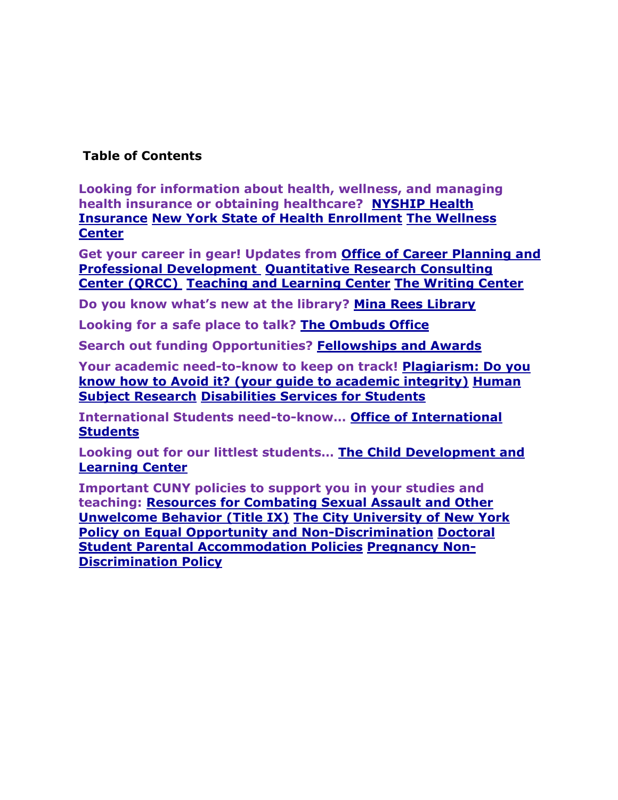## **Table of Contents**

**Looking for information about health, wellness, and managing health insurance or obtaining healthcare? [NYSHIP Health](#page-3-0)  [Insurance](#page-3-0) New York State of Health Enrollment [The Wellness](#page-5-0)  [Center](#page-5-0)**

**Get your career in gear! Updates from [Office of Career Planning and](#page-5-1)  [Professional Development](#page-5-1) [Quantitative Research Consulting](#page-6-0)  [Center \(QRCC\)](#page-6-0) [Teaching and Learning Center](#page-6-1) [The Writing Center](#page-7-0)**

**Do you know what's new at the library? [Mina Rees Library](#page-7-1)**

**Looking for a safe place to talk? [The Ombuds Office](#page-10-0)**

**Search out funding Opportunities? [Fellowships and Awards](#page-10-1)**

**Your academic need-to-know to keep on track! [Plagiarism: Do you](#page-11-0)  know how to Avoid it? [\(your guide to academic integrity\)](#page-11-0) [Human](#page-11-1)  [Subject Research](#page-11-1) Disabilities [Services for Students](#page-11-2)**

**International Students need-to-know… [Office of International](#page-13-0)  [Students](#page-13-0)**

**Looking out for our littlest students… [The Child Development and](#page-16-0)  [Learning Center](#page-16-0)**

<span id="page-2-0"></span>**Important CUNY policies to support you in your studies and teaching: [Resources for Combating Sexual Assault and Other](#page-16-1)  [Unwelcome Behavior \(Title IX\)](#page-16-1) [The City University of New York](#page-17-0)  Policy [on Equal Opportunity](#page-17-0) and Non-Discrimination [Doctoral](#page-17-1)  [Student Parental Accommodation Policies](#page-17-1) [Pregnancy Non-](#page-18-0)[Discrimination Policy](#page-18-0)**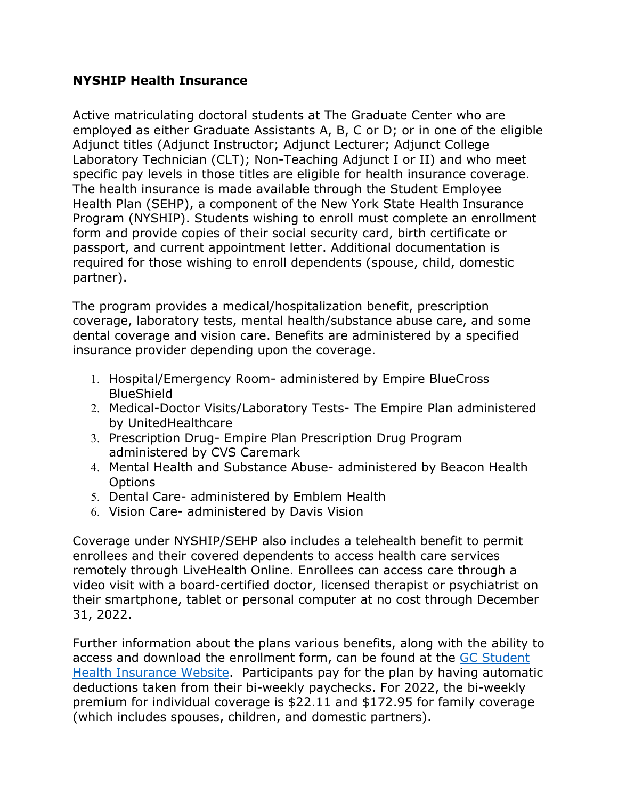### <span id="page-3-0"></span>**NYSHIP Health Insurance**

Active matriculating doctoral students at The Graduate Center who are employed as either Graduate Assistants A, B, C or D; or in one of the eligible Adjunct titles (Adjunct Instructor; Adjunct Lecturer; Adjunct College Laboratory Technician (CLT); Non-Teaching Adjunct I or II) and who meet specific pay levels in those titles are eligible for health insurance coverage. The health insurance is made available through the Student Employee Health Plan (SEHP), a component of the New York State Health Insurance Program (NYSHIP). Students wishing to enroll must complete an enrollment form and provide copies of their social security card, birth certificate or passport, and current appointment letter. Additional documentation is required for those wishing to enroll dependents (spouse, child, domestic partner).

The program provides a medical/hospitalization benefit, prescription coverage, laboratory tests, mental health/substance abuse care, and some dental coverage and vision care. Benefits are administered by a specified insurance provider depending upon the coverage.

- 1. Hospital/Emergency Room- administered by Empire BlueCross BlueShield
- 2. Medical-Doctor Visits/Laboratory Tests- The Empire Plan administered by UnitedHealthcare
- 3. Prescription Drug- Empire Plan Prescription Drug Program administered by CVS Caremark
- 4. Mental Health and Substance Abuse- administered by Beacon Health **Options**
- 5. Dental Care- administered by Emblem Health
- 6. Vision Care- administered by Davis Vision

Coverage under NYSHIP/SEHP also includes a telehealth benefit to permit enrollees and their covered dependents to access health care services remotely through LiveHealth Online. Enrollees can access care through a video visit with a board-certified doctor, licensed therapist or psychiatrist on their smartphone, tablet or personal computer at no cost through December 31, 2022.

Further information about the plans various benefits, along with the ability to access and download the enrollment form, can be found at the [GC Student](https://www.gc.cuny.edu/Prospective-Current-Students/Student-Life/Health-Wellness/Health-Insurance)  [Health Insurance Website.](https://www.gc.cuny.edu/Prospective-Current-Students/Student-Life/Health-Wellness/Health-Insurance) Participants pay for the plan by having automatic deductions taken from their bi-weekly paychecks. For 2022, the bi-weekly premium for individual coverage is \$22.11 and \$172.95 for family coverage (which includes spouses, children, and domestic partners).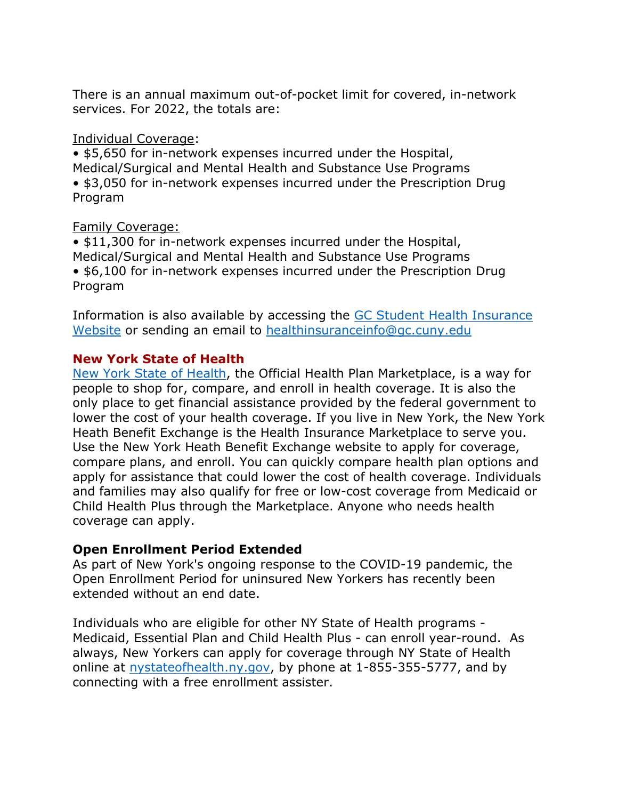There is an annual maximum out-of-pocket limit for covered, in-network services. For 2022, the totals are:

#### Individual Coverage:

• \$5,650 for in-network expenses incurred under the Hospital, Medical/Surgical and Mental Health and Substance Use Programs • \$3,050 for in-network expenses incurred under the Prescription Drug Program

### Family Coverage:

- \$11,300 for in-network expenses incurred under the Hospital, Medical/Surgical and Mental Health and Substance Use Programs
- \$6,100 for in-network expenses incurred under the Prescription Drug Program

Information is also available by accessing the [GC Student Health Insurance](https://www.gc.cuny.edu/Prospective-Current-Students/Student-Life/Health-Wellness/Health-Insurance)  [Website](https://www.gc.cuny.edu/Prospective-Current-Students/Student-Life/Health-Wellness/Health-Insurance) or sending an email to [healthinsuranceinfo@gc.cuny.edu](mailto:healthinsuranceinfo@gc.cuny.edu)

### **New York State of Health**

[New York State of Health,](https://nystateofhealth.ny.gov/) the Official Health Plan Marketplace, is a way for people to shop for, compare, and enroll in health coverage. It is also the only place to get financial assistance provided by the federal government to lower the cost of your health coverage. If you live in New York, the New York Heath Benefit Exchange is the Health Insurance Marketplace to serve you. Use the New York Heath Benefit Exchange website to apply for coverage, compare plans, and enroll. You can quickly compare health plan options and apply for assistance that could lower the cost of health coverage. Individuals and families may also qualify for free or low-cost coverage from Medicaid or Child Health Plus through the Marketplace. Anyone who needs health coverage can apply.

### **Open Enrollment Period Extended**

As part of New York's ongoing response to the COVID-19 pandemic, the Open Enrollment Period for uninsured New Yorkers has recently been extended without an end date.

Individuals who are eligible for other NY State of Health programs - Medicaid, Essential Plan and Child Health Plus - can enroll year-round. As always, New Yorkers can apply for coverage through NY State of Health online at [nystateofhealth.ny.gov,](https://urldefense.proofpoint.com/v2/url?u=https-3A__click.everyaction.com_k_24246383_270094514_-2D1176585110-3Fnvep-3Dew0KICAiVGVuYW50VXJpIjogIm5ncHZhbjovL3Zhbi9FQS9FQTAwNi8xLzg2OTc2IiwNCiAgIkRpc3RyaWJ1dGlvblVuaXF1ZUlkIjogIjhjY2EzOTM1LWU3NWYtZWIxMS1hNjA3LTAwMTU1ZDQzYzk5MiIsDQogICJFbWFpbEFkZHJlc3MiOiAiZXBlcnJhbUBnYy5jdW55LmVkdSINCn0-253D-26hmac-3DWd5QC9NBunGH9ZrgD3twiA-5F0i4iDh8rSOVuuPa4w3W0-3D-26emci-3De08356c5-2D465f-2Deb11-2Da607-2D00155d43c992-26emdi-3D8cca3935-2De75f-2Deb11-2Da607-2D00155d43c992-26ceid-3D4365511&d=DwMFaQ&c=8v77JlHZOYsReeOxyYXDU39VUUzHxyfBUh7fw_ZfBDA&r=tUOXZKoxnN7SnFgf-nHQ6jtk_aWxBHftuhpgz3tUKag&m=KcwCR3TkFxZG0_zH5dGwz9hoJfAQYcMcNTEiqC7fieE&s=9ETWJkGtnEnRvn9bOCFkIuSdAWbnUrkhtKvrkZa1Ekg&e=) by phone at 1-855-355-5777, and by connecting with a free enrollment assister.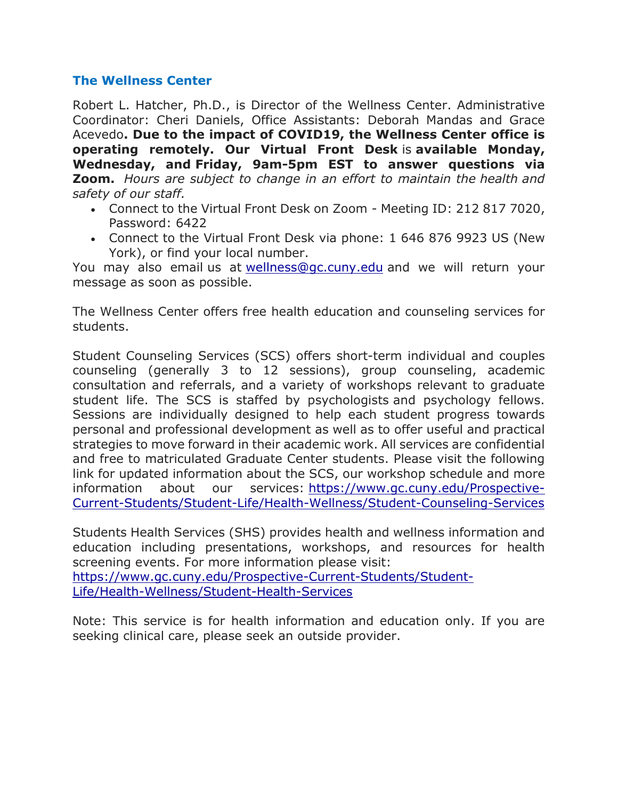### <span id="page-5-0"></span>**The Wellness Center**

Robert L. Hatcher, Ph.D., is Director of the Wellness Center. Administrative Coordinator: Cheri Daniels, Office Assistants: Deborah Mandas and Grace Acevedo**. Due to the impact of COVID19, the Wellness Center office is operating remotely. Our Virtual Front Desk** is **available Monday, Wednesday, and Friday, 9am-5pm EST to answer questions via Zoom.** *Hours are subject to change in an effort to maintain the health and safety of our staff.*

- Connect to the Virtual Front Desk on Zoom Meeting ID: 212 817 7020, Password: 6422
- Connect to the Virtual Front Desk via phone: 1 646 876 9923 US (New York), or find your local number.

You may also email us at [wellness@gc.cuny.edu](mailto:wellness@gc.cuny.edu) and we will return your message as soon as possible.

The Wellness Center offers free health education and counseling services for students.

Student Counseling Services (SCS) offers short-term individual and couples counseling (generally 3 to 12 sessions), group counseling, academic consultation and referrals, and a variety of workshops relevant to graduate student life. The SCS is staffed by psychologists and psychology fellows. Sessions are individually designed to help each student progress towards personal and professional development as well as to offer useful and practical strategies to move forward in their academic work. All services are confidential and free to matriculated Graduate Center students. Please visit the following link for updated information about the SCS, our workshop schedule and more information about our services: [https://www.gc.cuny.edu/Prospective-](https://www.gc.cuny.edu/Prospective-Current-Students/Student-Life/Health-Wellness/Student-Counseling-Services)[Current-Students/Student-Life/Health-Wellness/Student-Counseling-Services](https://www.gc.cuny.edu/Prospective-Current-Students/Student-Life/Health-Wellness/Student-Counseling-Services)

Students Health Services (SHS) provides health and wellness information and education including presentations, workshops, and resources for health screening events. For more information please visit: [https://www.gc.cuny.edu/Prospective-Current-Students/Student-](https://www.gc.cuny.edu/Prospective-Current-Students/Student-Life/Health-Wellness/Student-Health-Services)[Life/Health-Wellness/Student-Health-Services](https://www.gc.cuny.edu/Prospective-Current-Students/Student-Life/Health-Wellness/Student-Health-Services)

<span id="page-5-1"></span>Note: This service is for health information and education only. If you are seeking clinical care, please seek an outside provider.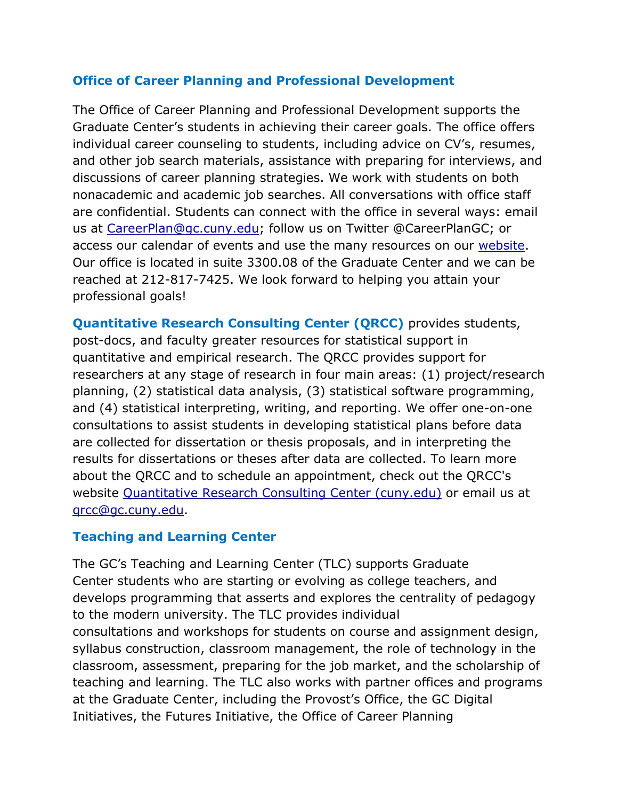### **Office of Career Planning and Professional Development**

The Office of Career Planning and Professional Development supports the Graduate Center's students in achieving their career goals. The office offers individual career counseling to students, including advice on CV's, resumes, and other job search materials, assistance with preparing for interviews, and discussions of career planning strategies. We work with students on both nonacademic and academic job searches. All conversations with office staff are confidential. Students can connect with the office in several ways: email us at [CareerPlan@gc.cuny.edu;](mailto:CareerPlan@gc.cuny.edu) follow us on Twitter @CareerPlanGC; or access our calendar of events and use the many resources on our [website.](https://careerplan.commons.gc.cuny.edu/) Our office is located in suite 3300.08 of the Graduate Center and we can be reached at [212-817-7425.](tel:(212)%20817-7425) We look forward to helping you attain your professional goals!

<span id="page-6-1"></span><span id="page-6-0"></span>**Quantitative Research Consulting Center (QRCC)** provides students, post-docs, and faculty greater resources for statistical support in quantitative and empirical research. The QRCC provides support for researchers at any stage of research in four main areas: (1) project/research planning, (2) statistical data analysis, (3) statistical software programming, and (4) statistical interpreting, writing, and reporting. We offer one-on-one consultations to assist students in developing statistical plans before data are collected for dissertation or thesis proposals, and in interpreting the results for dissertations or theses after data are collected. To learn more about the QRCC and to schedule an appointment, check out the QRCC's website [Quantitative Research Consulting Center \(cuny.edu\)](https://qrcc.commons.gc.cuny.edu/) or email us at [qrcc@gc.cuny.edu.](mailto:qrcc@gc.cuny.edu)

## **Teaching and Learning Center**

The GC's Teaching and Learning Center (TLC) supports Graduate Center students who are starting or evolving as college teachers, and develops programming that asserts and explores the centrality of pedagogy to the modern university. The TLC provides individual consultations and workshops for students on course and assignment design, syllabus construction, classroom management, the role of technology in the classroom, assessment, preparing for the job market, and the scholarship of teaching and learning. The TLC also works with partner offices and programs at the Graduate Center, including the Provost's Office, the GC Digital Initiatives, the Futures Initiative, the Office of Career Planning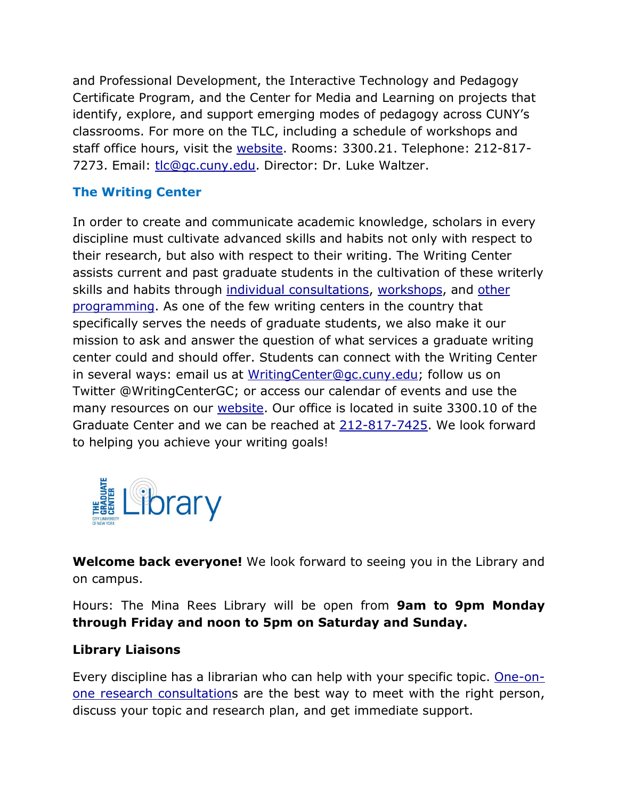and Professional Development, the Interactive Technology and Pedagogy Certificate Program, and the Center for Media and Learning on projects that identify, explore, and support emerging modes of pedagogy across CUNY's classrooms. For more on the TLC, including a schedule of workshops and staff office hours, visit the [website.](https://tlc.commons.gc.cuny.edu/) Rooms: 3300.21. Telephone: 212-817 7273. Email: [tlc@gc.cuny.edu.](mailto:tlc@gc.cuny.edu) Director: Dr. Luke Waltzer.

# <span id="page-7-0"></span>**The Writing Center**

In order to create and communicate academic knowledge, scholars in every discipline must cultivate advanced skills and habits not only with respect to their research, but also with respect to their writing. The Writing Center assists current and past graduate students in the cultivation of these writerly skills and habits through [individual consultations,](https://wrcenter.commons.gc.cuny.edu/writing-consultations/) [workshops,](https://wrcenter.commons.gc.cuny.edu/workshops-2/) and [other](https://wrcenter.commons.gc.cuny.edu/accountability-groups/)  [programming.](https://wrcenter.commons.gc.cuny.edu/accountability-groups/) As one of the few writing centers in the country that specifically serves the needs of graduate students, we also make it our mission to ask and answer the question of what services a graduate writing center could and should offer. Students can connect with the Writing Center in several ways: email us at [WritingCenter@gc.cuny.edu;](mailto:WritingCenter@gc.cuny.edu) follow us on Twitter @WritingCenterGC; or access our calendar of events and use the many resources on our [website.](https://twitter.com/WritingCenterGC) Our office is located in suite 3300.10 of the Graduate Center and we can be reached at [212-817-7425.](tel:(212)%20817-7425) We look forward to helping you achieve your writing goals!

<span id="page-7-1"></span>

**Welcome back everyone!** We look forward to seeing you in the Library and on campus.

Hours: The Mina Rees Library will be open from **9am to 9pm Monday through Friday and noon to 5pm on Saturday and Sunday.**

# **Library Liaisons**

Every discipline has a librarian who can help with your specific topic. [One-on](https://docs.google.com/forms/d/1E3upcC3P_P5tm5xdWLydjG6nB6cL9VyX64Ee0Ei3b2g/viewform)[one research consultations](https://docs.google.com/forms/d/1E3upcC3P_P5tm5xdWLydjG6nB6cL9VyX64Ee0Ei3b2g/viewform) are the best way to meet with the right person, discuss your topic and research plan, and get immediate support.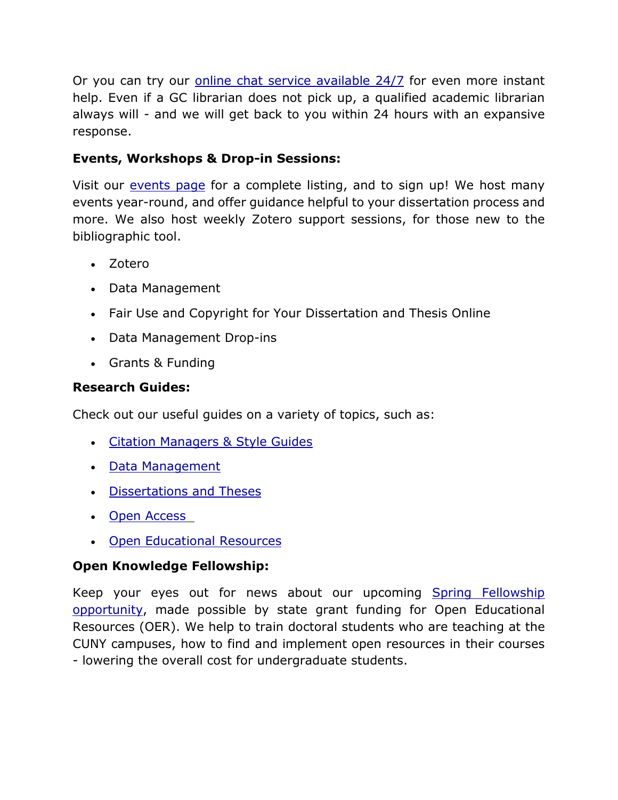Or you can try our [online chat service available 24/7](https://v2.libanswers.com/chati.php?hash=b52f2cdc0eb17645195f20b93093a46e&referer=https%3A%2F%2Flibrary.gc.cuny.edu%2F&referer_title=Mina%20Rees%20Library) for even more instant help. Even if a GC librarian does not pick up, a qualified academic librarian always will - and we will get back to you within 24 hours with an expansive response.

# **Events, Workshops & Drop-in Sessions:**

Visit our [events page](https://gc-cuny.libcal.com/calendar) for a complete listing, and to sign up! We host many events year-round, and offer guidance helpful to your dissertation process and more. We also host weekly Zotero support sessions, for those new to the bibliographic tool.

- Zotero
- Data Management
- Fair Use and Copyright for Your Dissertation and Thesis Online
- Data Management Drop-ins
- Grants & Funding

# **Research Guides:**

Check out our useful guides on a variety of topics, such as:

- [Citation Managers & Style Guides](https://libguides.gc.cuny.edu/Citation)
- [Data Management](https://libguides.gc.cuny.edu/datamgmt)
- [Dissertations and Theses](https://libguides.gc.cuny.edu/dissertations)
- [Open Access](https://libguides.gc.cuny.edu/openaccess)
- [Open Educational Resources](https://libguides.gc.cuny.edu/OER)

# **Open Knowledge Fellowship:**

Keep your eyes out for news about our upcoming Spring Fellowship [opportunity,](https://openpedagogy.commons.gc.cuny.edu/) made possible by state grant funding for Open Educational Resources (OER). We help to train doctoral students who are teaching at the CUNY campuses, how to find and implement open resources in their courses - lowering the overall cost for undergraduate students.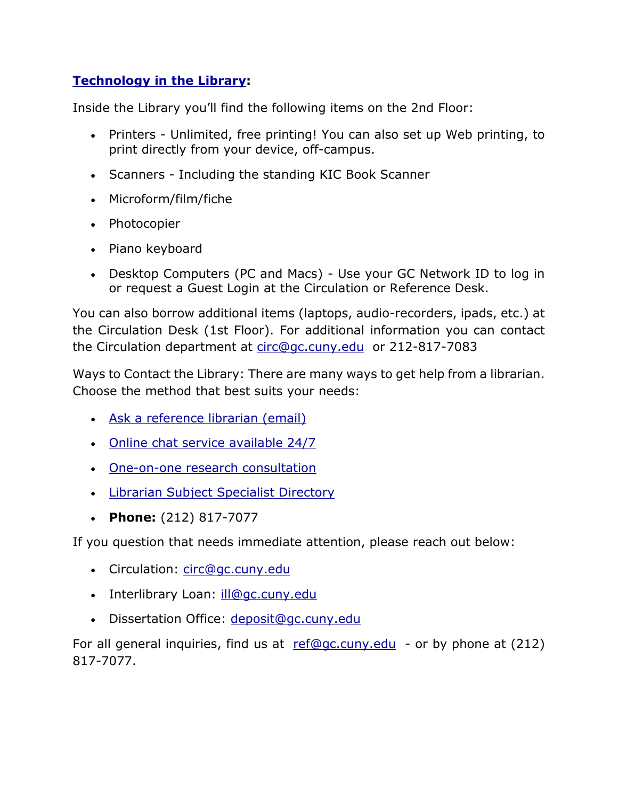# **[Technology in the Library:](https://libguides.gc.cuny.edu/librarytech)**

Inside the Library you'll find the following items on the 2nd Floor:

- Printers Unlimited, free printing! You can also set up Web printing, to print directly from your device, off-campus.
- Scanners Including the standing KIC Book Scanner
- Microform/film/fiche
- Photocopier
- Piano keyboard
- Desktop Computers (PC and Macs) Use your GC Network ID to log in or request a Guest Login at the Circulation or Reference Desk.

You can also borrow additional items (laptops, audio-recorders, ipads, etc.) at the Circulation Desk (1st Floor). For additional information you can contact the Circulation department at [circ@gc.cuny.edu](mailto:circ@gc.cuny.edu) or 212-817-7083

Ways to Contact the Library: There are many ways to get help from a librarian. Choose the method that best suits your needs:

- [Ask a reference librarian \(email\)](https://library.gc.cuny.edu/ask)
- [Online chat service available 24/7](https://v2.libanswers.com/chati.php?hash=b52f2cdc0eb17645195f20b93093a46e&referer=https%3A%2F%2Flibrary.gc.cuny.edu%2F&referer_title=Mina%20Rees%20Library)
- [One-on-one research consultation](https://docs.google.com/forms/d/1E3upcC3P_P5tm5xdWLydjG6nB6cL9VyX64Ee0Ei3b2g/viewform)
- [Librarian Subject Specialist Directory](https://library.gc.cuny.edu/library-directory/#vtab2)
- **Phone:** (212) 817-7077

If you question that needs immediate attention, please reach out below:

- Circulation: [circ@gc.cuny.edu](mailto:circ@gc.cuny.edu)
- Interlibrary Loan: *ill@gc.cuny.edu*
- Dissertation Office: [deposit@gc.cuny.edu](mailto:deposit@gc.cuny.edu)

For all general inquiries, find us at  $ref@gc.cuny.edu$  - or by phone at (212) 817-7077.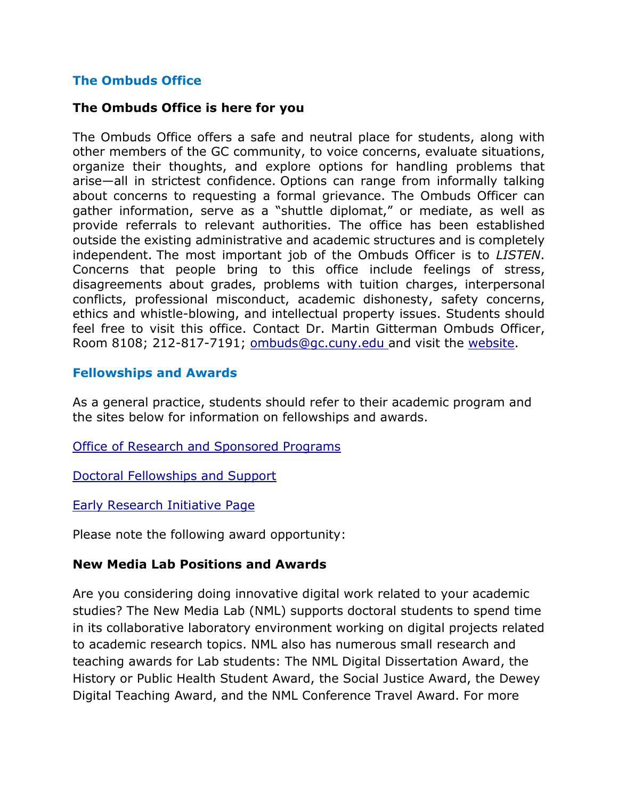## **The Ombuds Office**

#### <span id="page-10-0"></span>**The Ombuds Office is here for you**

The Ombuds Office offers a safe and neutral place for students, along with other members of the GC community, to voice concerns, evaluate situations, organize their thoughts, and explore options for handling problems that arise—all in strictest confidence. Options can range from informally talking about concerns to requesting a formal grievance. The Ombuds Officer can gather information, serve as a "shuttle diplomat," or mediate, as well as provide referrals to relevant authorities. The office has been established outside the existing administrative and academic structures and is completely independent. The most important job of the Ombuds Officer is to *LISTEN*. Concerns that people bring to this office include feelings of stress, disagreements about grades, problems with tuition charges, interpersonal conflicts, professional misconduct, academic dishonesty, safety concerns, ethics and whistle-blowing, and intellectual property issues. Students should feel free to visit this office. Contact Dr. Martin Gitterman Ombuds Officer, Room 8108; 212-817-7191; [ombuds@gc.cuny.edu](mailto:ombuds@gc.cuny.edu) and visit the [website.](http://www.gc.cuny.edu/About-the-GC/Resource-Services/Ombuds)

#### <span id="page-10-1"></span>**Fellowships and Awards**

As a general practice, students should refer to their academic program and the sites below for information on fellowships and awards.

[Office of Research and Sponsored Programs](http://www.gc.cuny.edu/About-the-GC/Resource-Services/Research-Funding)

[Doctoral Fellowships and Support](http://www.gc.cuny.edu/Prospective-Current-Students/Current-Students/Financial-Assistance/doctoral-fellowships-and-support)

[Early Research Initiative Page](https://www.gc.cuny.edu/Prospective-Current-Students/Financing-Your-Education/Doctoral-Funding/Early-Research-Initiative/Internal-Funding)

Please note the following award opportunity:

### **New Media Lab Positions and Awards**

Are you considering doing innovative digital work related to your academic studies? The New Media Lab (NML) supports doctoral students to spend time in its collaborative laboratory environment working on digital projects related to academic research topics. NML also has numerous small research and teaching awards for Lab students: The NML Digital Dissertation Award, the History or Public Health Student Award, the Social Justice Award, the Dewey Digital Teaching Award, and the NML Conference Travel Award. For more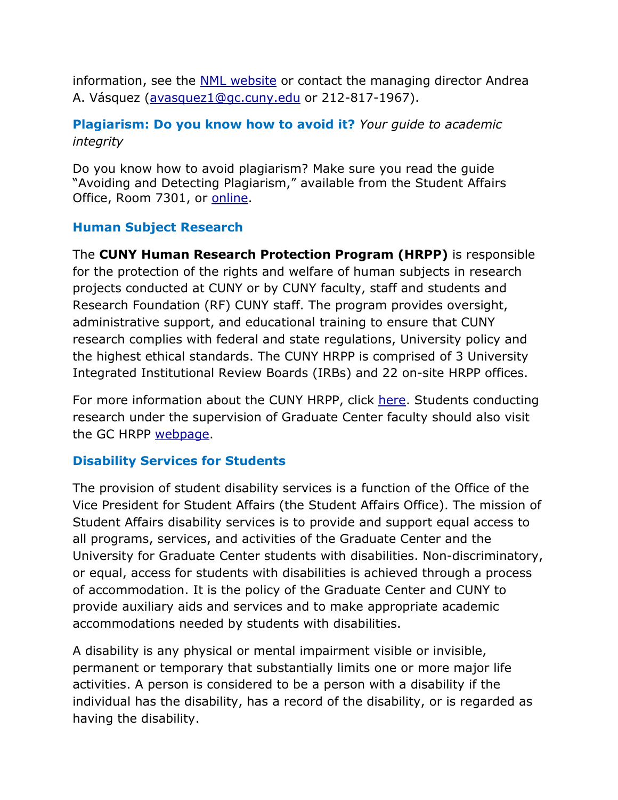information, see the **NML** website or contact the managing director Andrea A. Vásquez [\(avasquez1@gc.cuny.edu](mailto:avasquez1@gc.cuny.edu) or 212-817-1967).

# <span id="page-11-0"></span>**Plagiarism: Do you know how to avoid it?** *Your guide to academic integrity*

Do you know how to avoid plagiarism? Make sure you read the guide "Avoiding and Detecting Plagiarism," available from the Student Affairs Office, Room 7301, or [online.](http://www.gc.cuny.edu/CUNY_GC/media/CUNY-Graduate-Center/PDF/Publications/AvoidingPlagiarism.pdf?ext=.pdf)

## <span id="page-11-1"></span>**Human Subject Research**

The **CUNY Human Research Protection Program (HRPP)** is responsible for the protection of the rights and welfare of human subjects in research projects conducted at CUNY or by CUNY faculty, staff and students and Research Foundation (RF) CUNY staff. The program provides oversight, administrative support, and educational training to ensure that CUNY research complies with federal and state regulations, University policy and the highest ethical standards. The CUNY HRPP is comprised of 3 University Integrated Institutional Review Boards (IRBs) and 22 on-site HRPP offices.

For more information about the CUNY HRPP, click [here.](https://www.cuny.edu/research/research-compliance/human-research-protection-program/) Students conducting research under the supervision of Graduate Center faculty should also visit the GC HRPP [webpage.](https://www.cuny.edu/research/research-compliance/human-research-protection-program/)

# <span id="page-11-2"></span>**Disability Services for Students**

The provision of student disability services is a function of the Office of the Vice President for Student Affairs (the Student Affairs Office). The mission of Student Affairs disability services is to provide and support equal access to all programs, services, and activities of the Graduate Center and the University for Graduate Center students with disabilities. Non-discriminatory, or equal, access for students with disabilities is achieved through a process of accommodation. It is the policy of the Graduate Center and CUNY to provide auxiliary aids and services and to make appropriate academic accommodations needed by students with disabilities.

A disability is any physical or mental impairment visible or invisible, permanent or temporary that substantially limits one or more major life activities. A person is considered to be a person with a disability if the individual has the disability, has a record of the disability, or is regarded as having the disability.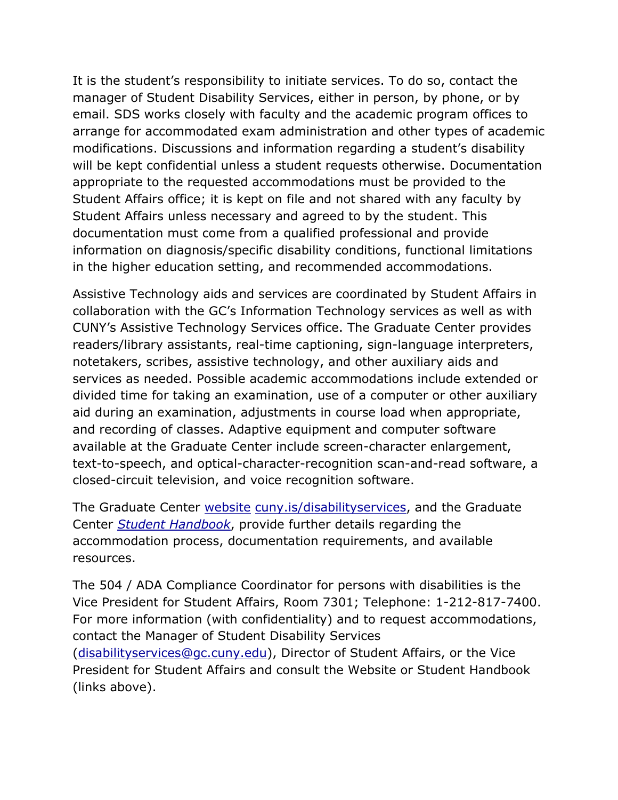It is the student's responsibility to initiate services. To do so, contact the manager of Student Disability Services, either in person, by phone, or by email. SDS works closely with faculty and the academic program offices to arrange for accommodated exam administration and other types of academic modifications. Discussions and information regarding a student's disability will be kept confidential unless a student requests otherwise. Documentation appropriate to the requested accommodations must be provided to the Student Affairs office; it is kept on file and not shared with any faculty by Student Affairs unless necessary and agreed to by the student. This documentation must come from a qualified professional and provide information on diagnosis/specific disability conditions, functional limitations in the higher education setting, and recommended accommodations.

Assistive Technology aids and services are coordinated by Student Affairs in collaboration with the GC's Information Technology services as well as with CUNY's Assistive Technology Services office. The Graduate Center provides readers/library assistants, real-time captioning, sign-language interpreters, notetakers, scribes, assistive technology, and other auxiliary aids and services as needed. Possible academic accommodations include extended or divided time for taking an examination, use of a computer or other auxiliary aid during an examination, adjustments in course load when appropriate, and recording of classes. Adaptive equipment and computer software available at the Graduate Center include screen-character enlargement, text-to-speech, and optical-character-recognition scan-and-read software, a closed-circuit television, and voice recognition software.

The Graduate Center [website](https://www.gc.cuny.edu/Prospective-Current-Students/Current-Students/Disability-Services) [cuny.is/disabilityservices,](http://cuny.is/disabilityservices) and the Graduate Center *[Student Handbook](http://www.gc.cuny.edu/CUNY_GC/media/CUNY-Graduate-Center/PDF/Publications/Student_Handbook_web.pdf)*, provide further details regarding the accommodation process, documentation requirements, and available resources.

The 504 / ADA Compliance Coordinator for persons with disabilities is the Vice President for Student Affairs, Room 7301; Telephone: 1-212-817-7400. For more information (with confidentiality) and to request accommodations, contact the Manager of Student Disability Services [\(disabilityservices@gc.cuny.edu\)](mailto:disabilityservices@gc.cuny.edu), Director of Student Affairs, or the Vice President for Student Affairs and consult the Website or Student Handbook (links above).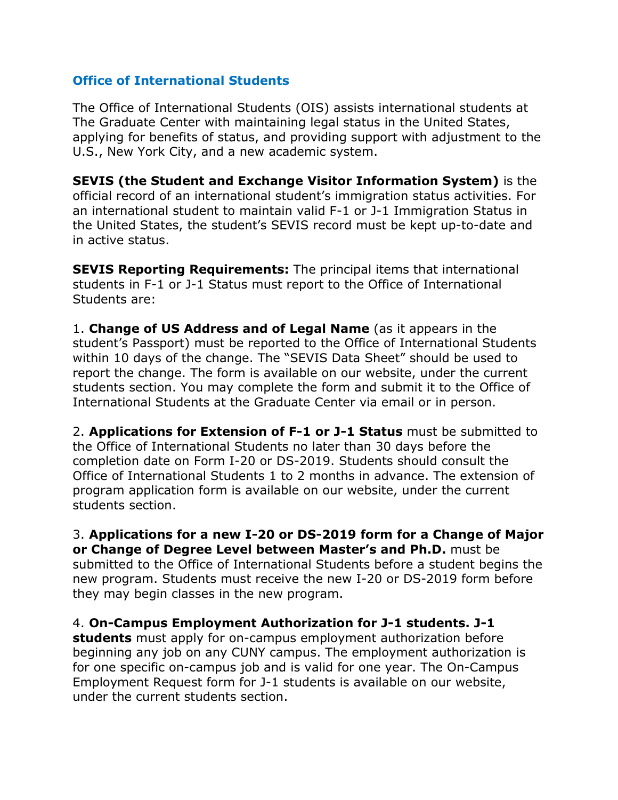### <span id="page-13-0"></span>**Office of International Students**

The Office of International Students (OIS) assists international students at The Graduate Center with maintaining legal status in the United States, applying for benefits of status, and providing support with adjustment to the U.S., New York City, and a new academic system.

**SEVIS (the Student and Exchange Visitor Information System)** is the official record of an international student's immigration status activities. For an international student to maintain valid F-1 or J-1 Immigration Status in the United States, the student's SEVIS record must be kept up-to-date and in active status.

**SEVIS Reporting Requirements:** The principal items that international students in F-1 or J-1 Status must report to the Office of International Students are:

1. **Change of US Address and of Legal Name** (as it appears in the student's Passport) must be reported to the Office of International Students within 10 days of the change. The "SEVIS Data Sheet" should be used to report the change. The form is available on our website, under the current students section. You may complete the form and submit it to the Office of International Students at the Graduate Center via email or in person.

2. **Applications for Extension of F-1 or J-1 Status** must be submitted to the Office of International Students no later than 30 days before the completion date on Form I-20 or DS-2019. Students should consult the Office of International Students 1 to 2 months in advance. The extension of program application form is available on our website, under the current students section.

3. **Applications for a new I-20 or DS-2019 form for a Change of Major or Change of Degree Level between Master's and Ph.D.** must be submitted to the Office of International Students before a student begins the new program. Students must receive the new I-20 or DS-2019 form before they may begin classes in the new program.

4. **On-Campus Employment Authorization for J-1 students. J-1 students** must apply for on-campus employment authorization before beginning any job on any CUNY campus. The employment authorization is for one specific on-campus job and is valid for one year. The On-Campus Employment Request form for J-1 students is available on our website, under the current students section.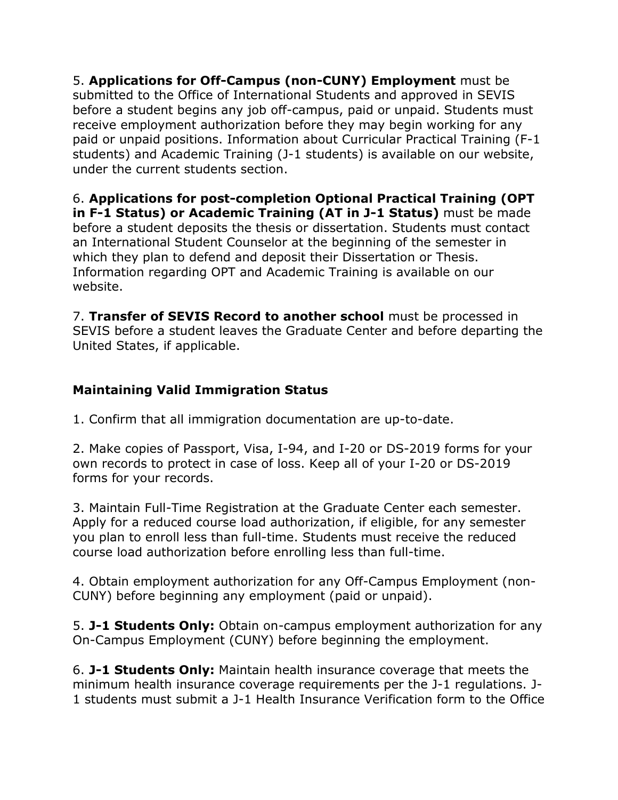5. **Applications for Off-Campus (non-CUNY) Employment** must be submitted to the Office of International Students and approved in SEVIS before a student begins any job off-campus, paid or unpaid. Students must receive employment authorization before they may begin working for any paid or unpaid positions. Information about Curricular Practical Training (F-1 students) and Academic Training (J-1 students) is available on our website, under the current students section.

6. **Applications for post-completion Optional Practical Training (OPT in F-1 Status) or Academic Training (AT in J-1 Status)** must be made before a student deposits the thesis or dissertation. Students must contact an International Student Counselor at the beginning of the semester in which they plan to defend and deposit their Dissertation or Thesis. Information regarding OPT and Academic Training is available on our website.

7. **Transfer of SEVIS Record to another school** must be processed in SEVIS before a student leaves the Graduate Center and before departing the United States, if applicable.

# **Maintaining Valid Immigration Status**

1. Confirm that all immigration documentation are up-to-date.

2. Make copies of Passport, Visa, I-94, and I-20 or DS-2019 forms for your own records to protect in case of loss. Keep all of your I-20 or DS-2019 forms for your records.

3. Maintain Full-Time Registration at the Graduate Center each semester. Apply for a reduced course load authorization, if eligible, for any semester you plan to enroll less than full-time. Students must receive the reduced course load authorization before enrolling less than full-time.

4. Obtain employment authorization for any Off-Campus Employment (non-CUNY) before beginning any employment (paid or unpaid).

5. **J-1 Students Only:** Obtain on-campus employment authorization for any On-Campus Employment (CUNY) before beginning the employment.

6. **J-1 Students Only:** Maintain health insurance coverage that meets the minimum health insurance coverage requirements per the J-1 regulations. J-1 students must submit a J-1 Health Insurance Verification form to the Office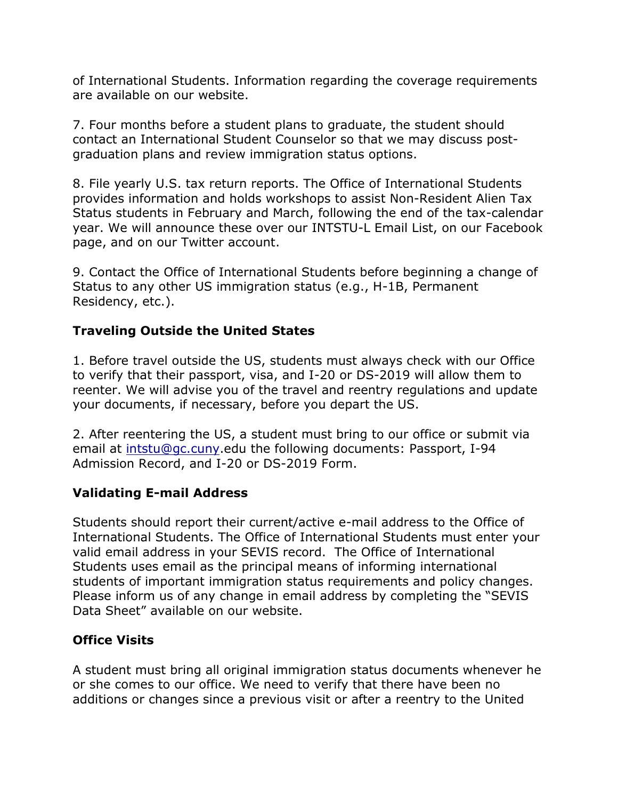of International Students. Information regarding the coverage requirements are available on our website.

7. Four months before a student plans to graduate, the student should contact an International Student Counselor so that we may discuss postgraduation plans and review immigration status options.

8. File yearly U.S. tax return reports. The Office of International Students provides information and holds workshops to assist Non-Resident Alien Tax Status students in February and March, following the end of the tax-calendar year. We will announce these over our INTSTU-L Email List, on our Facebook page, and on our Twitter account.

9. Contact the Office of International Students before beginning a change of Status to any other US immigration status (e.g., H-1B, Permanent Residency, etc.).

## **Traveling Outside the United States**

1. Before travel outside the US, students must always check with our Office to verify that their passport, visa, and I-20 or DS-2019 will allow them to reenter. We will advise you of the travel and reentry regulations and update your documents, if necessary, before you depart the US.

2. After reentering the US, a student must bring to our office or submit via email at [intstu@gc.cuny.](mailto:intstu@gc.cuny)edu the following documents: Passport, I-94 Admission Record, and I-20 or DS-2019 Form.

## **Validating E-mail Address**

Students should report their current/active e-mail address to the Office of International Students. The Office of International Students must enter your valid email address in your SEVIS record. The Office of International Students uses email as the principal means of informing international students of important immigration status requirements and policy changes. Please inform us of any change in email address by completing the "SEVIS Data Sheet" available on our website.

## **Office Visits**

A student must bring all original immigration status documents whenever he or she comes to our office. We need to verify that there have been no additions or changes since a previous visit or after a reentry to the United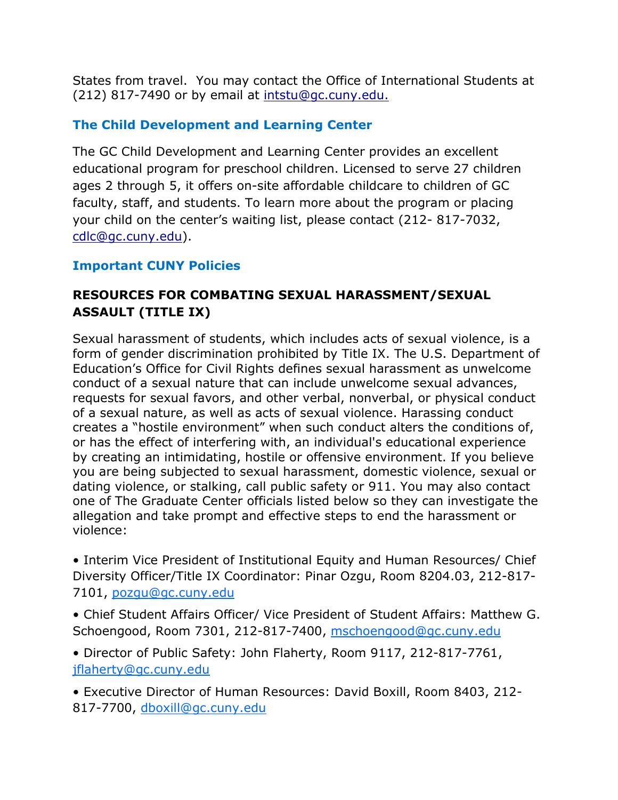States from travel. You may contact the Office of International Students at (212) 817-7490 or by email at [intstu@gc.cuny.edu.](mailto:intstu@gc.cuny.edu.)

# <span id="page-16-0"></span>**The Child Development and Learning Center**

The GC Child Development and Learning Center provides an excellent educational program for preschool children. Licensed to serve 27 children ages 2 through 5, it offers on-site affordable childcare to children of GC faculty, staff, and students. To learn more about the program or placing your child on the center's waiting list, please contact (212- 817-7032, [cdlc@gc.cuny.edu\)](mailto:cdlc@gc.cuny.edu).

## **Important CUNY Policies**

# <span id="page-16-1"></span>**RESOURCES FOR COMBATING SEXUAL HARASSMENT/SEXUAL ASSAULT (TITLE IX)**

Sexual harassment of students, which includes acts of sexual violence, is a form of gender discrimination prohibited by Title IX. The U.S. Department of Education's Office for Civil Rights defines sexual harassment as unwelcome conduct of a sexual nature that can include unwelcome sexual advances, requests for sexual favors, and other verbal, nonverbal, or physical conduct of a sexual nature, as well as acts of sexual violence. Harassing conduct creates a "hostile environment" when such conduct alters the conditions of, or has the effect of interfering with, an individual's educational experience by creating an intimidating, hostile or offensive environment. If you believe you are being subjected to sexual harassment, domestic violence, sexual or dating violence, or stalking, call public safety or 911. You may also contact one of The Graduate Center officials listed below so they can investigate the allegation and take prompt and effective steps to end the harassment or violence:

• Interim Vice President of Institutional Equity and Human Resources/ Chief Diversity Officer/Title IX Coordinator: Pinar Ozgu, Room 8204.03, 212-817- 7101, [pozgu@gc.cuny.edu](mailto:pozgu@gc.cuny.edu)

• Chief Student Affairs Officer/ Vice President of Student Affairs: Matthew G. Schoengood, Room 7301, 212-817-7400, [mschoengood@gc.cuny.edu](mailto:mschoengood@gc.cuny.edu)

• Director of Public Safety: John Flaherty, Room 9117, 212-817-7761, [jflaherty@gc.cuny.edu](mailto:jflaherty@gc.cuny.edu)

• Executive Director of Human Resources: David Boxill, Room 8403, 212- 817-7700, [dboxill@gc.cuny.edu](mailto:dboxill@gc.cuny.edu)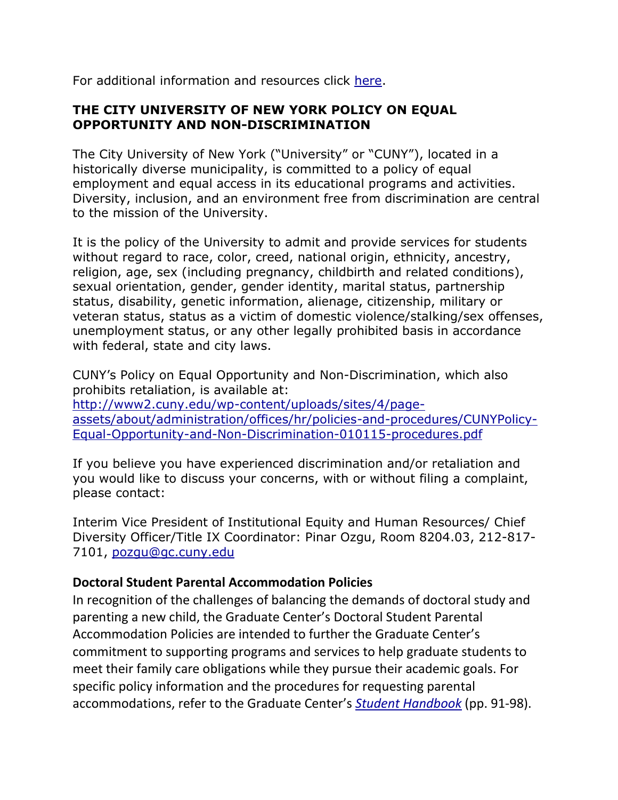For additional information and resources click [here.](https://www.gc.cuny.edu/TitleIX)

## <span id="page-17-0"></span>**THE CITY UNIVERSITY OF NEW YORK POLICY ON EQUAL OPPORTUNITY AND NON-DISCRIMINATION**

<span id="page-17-1"></span>The City University of New York ("University" or "CUNY"), located in a historically diverse municipality, is committed to a policy of equal employment and equal access in its educational programs and activities. Diversity, inclusion, and an environment free from discrimination are central to the mission of the University.

It is the policy of the University to admit and provide services for students without regard to race, color, creed, national origin, ethnicity, ancestry, religion, age, sex (including pregnancy, childbirth and related conditions), sexual orientation, gender, gender identity, marital status, partnership status, disability, genetic information, alienage, citizenship, military or veteran status, status as a victim of domestic violence/stalking/sex offenses, unemployment status, or any other legally prohibited basis in accordance with federal, state and city laws.

CUNY's Policy on Equal Opportunity and Non-Discrimination, which also prohibits retaliation, is available at: [http://www2.cuny.edu/wp-content/uploads/sites/4/page](http://www2.cuny.edu/wp-content/uploads/sites/4/page-assets/about/administration/offices/hr/policies-and-procedures/CUNYPolicy-Equal-Opportunity-and-Non-Discrimination-010115-procedures.pdf)[assets/about/administration/offices/hr/policies-and-procedures/CUNYPolicy-](http://www2.cuny.edu/wp-content/uploads/sites/4/page-assets/about/administration/offices/hr/policies-and-procedures/CUNYPolicy-Equal-Opportunity-and-Non-Discrimination-010115-procedures.pdf)[Equal-Opportunity-and-Non-Discrimination-010115-procedures.pdf](http://www2.cuny.edu/wp-content/uploads/sites/4/page-assets/about/administration/offices/hr/policies-and-procedures/CUNYPolicy-Equal-Opportunity-and-Non-Discrimination-010115-procedures.pdf)

If you believe you have experienced discrimination and/or retaliation and you would like to discuss your concerns, with or without filing a complaint, please contact:

Interim Vice President of Institutional Equity and Human Resources/ Chief Diversity Officer/Title IX Coordinator: Pinar Ozgu, Room 8204.03, 212-817- 7101, [pozgu@gc.cuny.edu](mailto:pozgu@gc.cuny.edu)

## **Doctoral Student Parental Accommodation Policies**

In recognition of the challenges of balancing the demands of doctoral study and parenting a new child, the Graduate Center's Doctoral Student Parental Accommodation Policies are intended to further the Graduate Center's commitment to supporting programs and services to help graduate students to meet their family care obligations while they pursue their academic goals. For specific policy information and the procedures for requesting parental accommodations, refer to the Graduate Center's *[Student Handbook](http://www.gc.cuny.edu/CUNY_GC/media/CUNY-Graduate-Center/PDF/Publications/Student_Handbook_web.pdf?ext=.pdf)* (pp. 91-98).